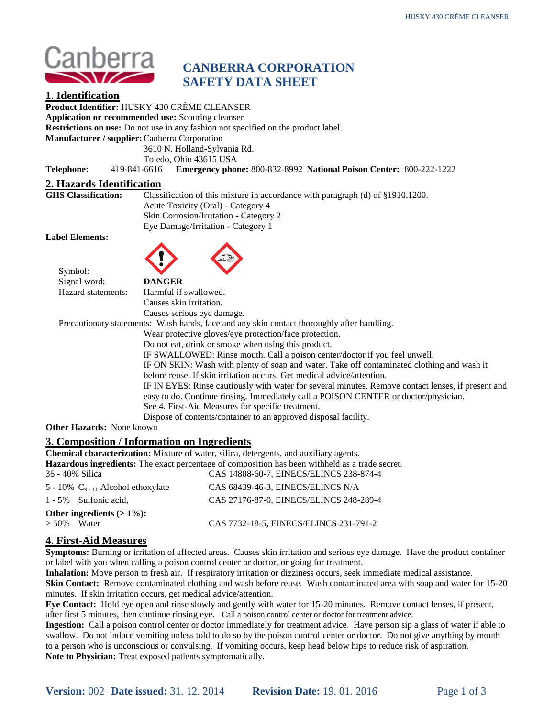

# **CANBERRA CORPORATION SAFETY DATA SHEET**

# **1. Identification**

**Product Identifier:** HUSKY 430 CRÈME CLEANSER

**Application or recommended use:** Scouring cleanser

**Restrictions on use:** Do not use in any fashion not specified on the product label.

**Manufacturer / supplier:**Canberra Corporation

3610 N. Holland-Sylvania Rd.

Toledo, Ohio 43615 USA

**Telephone:** 419-841-6616 **Emergency phone:** 800-832-8992 **National Poison Center:** 800-222-1222

# **2. Hazards Identification**

Classification of this mixture in accordance with paragraph (d) of §1910.1200. Acute Toxicity (Oral) - Category 4 Skin Corrosion/Irritation - Category 2 Eye Damage/Irritation - Category 1

#### **Label Elements:**

Symbol:



| O VILIUOL.              |                                                                                                    |
|-------------------------|----------------------------------------------------------------------------------------------------|
| Signal word:            | <b>DANGER</b>                                                                                      |
| Hazard statements:      | Harmful if swallowed.                                                                              |
|                         | Causes skin irritation.                                                                            |
|                         | Causes serious eye damage.                                                                         |
|                         | Precautionary statements: Wash hands, face and any skin contact thoroughly after handling.         |
|                         | Wear protective gloves/eye protection/face protection.                                             |
|                         | Do not eat, drink or smoke when using this product.                                                |
|                         | IF SWALLOWED: Rinse mouth. Call a poison center/doctor if you feel unwell.                         |
|                         | IF ON SKIN: Wash with plenty of soap and water. Take off contaminated clothing and wash it         |
|                         | before reuse. If skin irritation occurs: Get medical advice/attention.                             |
|                         | IF IN EYES: Rinse cautiously with water for several minutes. Remove contact lenses, if present and |
|                         | easy to do. Continue rinsing. Immediately call a POISON CENTER or doctor/physician.                |
|                         | See 4. First-Aid Measures for specific treatment.                                                  |
|                         | Dispose of contents/container to an approved disposal facility.                                    |
| har Hazarda, Nana known |                                                                                                    |

#### **Other Hazards:** None known

#### **3. Composition / Information on Ingredients**

| <b>Chemical characterization:</b> Mixture of water, silica, detergents, and auxiliary agents.   |  |  |  |
|-------------------------------------------------------------------------------------------------|--|--|--|
| Hazardous ingredients: The exact percentage of composition has been withheld as a trade secret. |  |  |  |
| CAS 14808-60-7, EINECS/ELINCS 238-874-4                                                         |  |  |  |
| CAS 68439-46-3, EINECS/ELINCS N/A                                                               |  |  |  |
| CAS 27176-87-0, EINECS/ELINCS 248-289-4                                                         |  |  |  |
| Other ingredients $(>1\%)$ :                                                                    |  |  |  |
| CAS 7732-18-5, EINECS/ELINCS 231-791-2                                                          |  |  |  |
|                                                                                                 |  |  |  |

# **4. First-Aid Measures**

**Symptoms:** Burning or irritation of affected areas. Causes skin irritation and serious eye damage. Have the product container or label with you when calling a poison control center or doctor, or going for treatment.

**Inhalation:** Move person to fresh air. If respiratory irritation or dizziness occurs, seek immediate medical assistance.

**Skin Contact:** Remove contaminated clothing and wash before reuse. Wash contaminated area with soap and water for 15-20 minutes. If skin irritation occurs, get medical advice/attention.

**Eye Contact:** Hold eye open and rinse slowly and gently with water for 15-20 minutes. Remove contact lenses, if present, after first 5 minutes, then continue rinsing eye. Call a poison control center or doctor for treatment advice.

**Ingestion:** Call a poison control center or doctor immediately for treatment advice. Have person sip a glass of water if able to swallow. Do not induce vomiting unless told to do so by the poison control center or doctor. Do not give anything by mouth to a person who is unconscious or convulsing. If vomiting occurs, keep head below hips to reduce risk of aspiration. **Note to Physician:** Treat exposed patients symptomatically.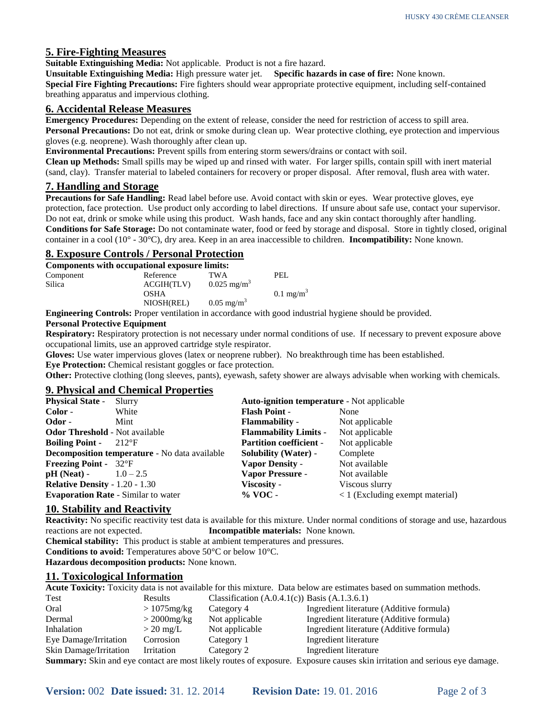# **5. Fire-Fighting Measures**

**Suitable Extinguishing Media:** Not applicable. Product is not a fire hazard.

**Unsuitable Extinguishing Media:** High pressure water jet. **Specific hazards in case of fire:** None known.

**Special Fire Fighting Precautions:** Fire fighters should wear appropriate protective equipment, including self-contained breathing apparatus and impervious clothing.

# **6. Accidental Release Measures**

**Emergency Procedures:** Depending on the extent of release, consider the need for restriction of access to spill area. **Personal Precautions:** Do not eat, drink or smoke during clean up. Wear protective clothing, eye protection and impervious gloves (e.g. neoprene). Wash thoroughly after clean up.

**Environmental Precautions:** Prevent spills from entering storm sewers/drains or contact with soil.

**Clean up Methods:** Small spills may be wiped up and rinsed with water. For larger spills, contain spill with inert material (sand, clay). Transfer material to labeled containers for recovery or proper disposal. After removal, flush area with water.

# **7. Handling and Storage**

**Precautions for Safe Handling:** Read label before use. Avoid contact with skin or eyes. Wear protective gloves, eye protection, face protection. Use product only according to label directions. If unsure about safe use, contact your supervisor. Do not eat, drink or smoke while using this product. Wash hands, face and any skin contact thoroughly after handling. **Conditions for Safe Storage:** Do not contaminate water, food or feed by storage and disposal. Store in tightly closed, original

container in a cool (10° - 30°C), dry area. Keep in an area inaccessible to children. **Incompatibility:** None known.

# **8. Exposure Controls / Personal Protection**

| Components with occupational exposure limits: |             |                           |                      |
|-----------------------------------------------|-------------|---------------------------|----------------------|
| Component                                     | Reference   | <b>TWA</b>                | PEL.                 |
| Silica                                        | ACGIH(TLV)  | $0.025$ mg/m <sup>3</sup> |                      |
|                                               | <b>OSHA</b> |                           | $0.1 \text{ mg/m}^3$ |
|                                               | NIOSH(REL)  | $0.05 \text{ mg/m}^3$     |                      |

**Engineering Controls:** Proper ventilation in accordance with good industrial hygiene should be provided.

#### **Personal Protective Equipment**

**Respiratory:** Respiratory protection is not necessary under normal conditions of use.If necessary to prevent exposure above occupational limits, use an approved cartridge style respirator.

**Gloves:** Use water impervious gloves (latex or neoprene rubber). No breakthrough time has been established.

**Eye Protection:** Chemical resistant goggles or face protection.

**Other:** Protective clothing (long sleeves, pants), eyewash, safety shower are always advisable when working with chemicals.

#### **9. Physical and Chemical Properties**

| <b>Auto-ignition temperature - Not applicable</b> |  |  |
|---------------------------------------------------|--|--|
|                                                   |  |  |
|                                                   |  |  |
|                                                   |  |  |
|                                                   |  |  |
|                                                   |  |  |
|                                                   |  |  |
|                                                   |  |  |
|                                                   |  |  |
| $\langle 1 \rangle$ (Excluding exempt material)   |  |  |
|                                                   |  |  |

#### **10. Stability and Reactivity**

**Reactivity:** No specific reactivity test data is available for this mixture. Under normal conditions of storage and use, hazardous reactions are not expected. **Incompatible materials:** None known.

**Chemical stability:** This product is stable at ambient temperatures and pressures. **Conditions to avoid:** Temperatures above 50°C or below 10°C. **Hazardous decomposition products:** None known.

#### **11. Toxicological Information**

**Acute Toxicity:** Toxicity data is not available for this mixture. Data below are estimates based on summation methods.

| Test                   | Results          | Classification $(A.0.4.1(c))$ Basis $(A.1.3.6.1)$ |                                                                                                                           |
|------------------------|------------------|---------------------------------------------------|---------------------------------------------------------------------------------------------------------------------------|
| Oral                   | $>1075$ mg/kg    | Category 4                                        | Ingredient literature (Additive formula)                                                                                  |
| Dermal                 | $>$ 2000 $mg/kg$ | Not applicable                                    | Ingredient literature (Additive formula)                                                                                  |
| Inhalation             | $>$ 20 mg/L      | Not applicable                                    | Ingredient literature (Additive formula)                                                                                  |
| Eye Damage/Irritation  | Corrosion        | Category 1                                        | Ingredient literature                                                                                                     |
| Skin Damage/Irritation | Irritation       | Category 2                                        | Ingredient literature                                                                                                     |
|                        |                  |                                                   | Summary: Skin and eye contact are most likely routes of exposure. Exposure causes skin irritation and serious eye damage. |